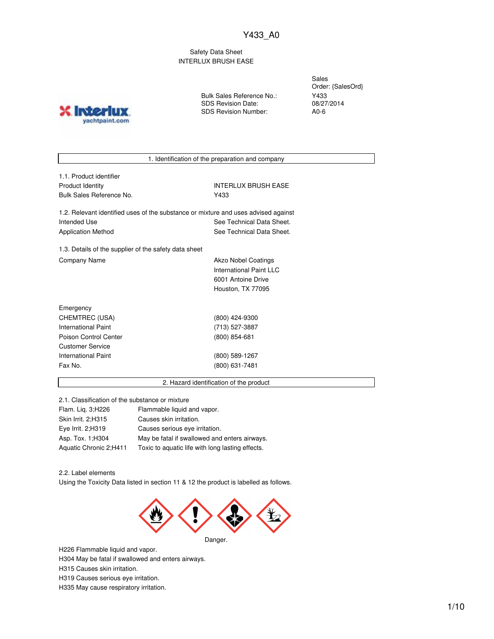Safety Data Sheet INTERLUX BRUSH EASE

**IND?** yachtpaint.com Bulk Sales Reference No.: SDS Revision Date: SDS Revision Number:

Sales Order: {SalesOrd} Y433 08/27/2014 A0-6

1. Identification of the preparation and company

| 1.1. Product identifier                                                            |                            |
|------------------------------------------------------------------------------------|----------------------------|
| Product Identity                                                                   | <b>INTERLUX BRUSH EASE</b> |
| Bulk Sales Reference No.                                                           | Y433                       |
| 1.2. Relevant identified uses of the substance or mixture and uses advised against |                            |
| Intended Use                                                                       | See Technical Data Sheet.  |
| Application Method                                                                 | See Technical Data Sheet.  |
|                                                                                    |                            |

1.3. Details of the supplier of the safety data sheet Company Name **Akzo Nobel Coatings** 

International Paint LLC 6001 Antoine Drive Houston, TX 77095

| Emergency             |                 |
|-----------------------|-----------------|
| CHEMTREC (USA)        | (800) 424-9300  |
| International Paint   | (713) 527-3887  |
| Poison Control Center | $(800)$ 854-681 |
| Customer Service      |                 |
| International Paint   | (800) 589-1267  |
| Fax No.               | (800) 631-7481  |
|                       |                 |

2. Hazard identification of the product

2.1. Classification of the substance or mixture

| Flam. Lig. 3; H226     | Flammable liquid and vapor.                      |
|------------------------|--------------------------------------------------|
| Skin Irrit. 2; H315    | Causes skin irritation.                          |
| Eye Irrit. 2;H319      | Causes serious eye irritation.                   |
| Asp. Tox. 1; H304      | May be fatal if swallowed and enters airways.    |
| Aquatic Chronic 2;H411 | Toxic to aquatic life with long lasting effects. |

2.2. Label elements

Using the Toxicity Data listed in section 11 & 12 the product is labelled as follows.



H226 Flammable liquid and vapor. H304 May be fatal if swallowed and enters airways. H315 Causes skin irritation. H319 Causes serious eye irritation. H335 May cause respiratory irritation.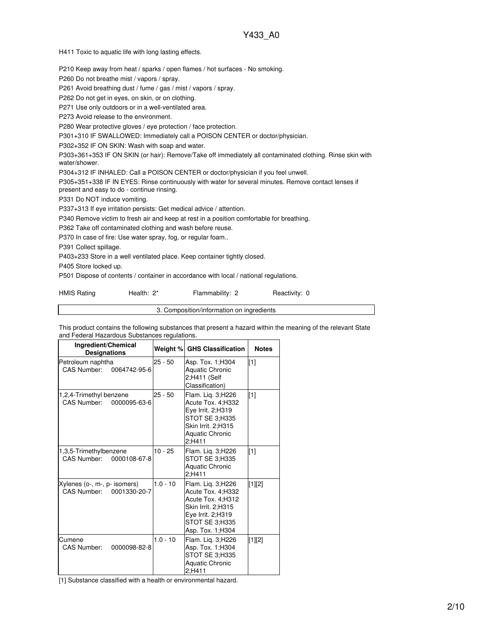H411 Toxic to aquatic life with long lasting effects.

P210 Keep away from heat / sparks / open flames / hot surfaces - No smoking.

P260 Do not breathe mist / vapors / spray.

P261 Avoid breathing dust / fume / gas / mist / vapors / spray.

P262 Do not get in eyes, on skin, or on clothing.

P271 Use only outdoors or in a well-ventilated area.

P273 Avoid release to the environment.

P280 Wear protective gloves / eye protection / face protection.

P301+310 IF SWALLOWED: Immediately call a POISON CENTER or doctor/physician.

P302+352 IF ON SKIN: Wash with soap and water.

P303+361+353 IF ON SKIN (or hair): Remove/Take off immediately all contaminated clothing. Rinse skin with water/shower.

P304+312 IF INHALED: Call a POISON CENTER or doctor/physician if you feel unwell.

P305+351+338 IF IN EYES: Rinse continuously with water for several minutes. Remove contact lenses if present and easy to do - continue rinsing.

P331 Do NOT induce vomiting.

P337+313 If eye irritation persists: Get medical advice / attention.

P340 Remove victim to fresh air and keep at rest in a position comfortable for breathing.

P362 Take off contaminated clothing and wash before reuse.

P370 In case of fire: Use water spray, fog, or regular foam..

P391 Collect spillage.

P403+233 Store in a well ventilated place. Keep container tightly closed.

P405 Store locked up.

P501 Dispose of contents / container in accordance with local / national regulations.

HMIS Rating **Health: 2\*** Flammability: 2 Reactivity: 0

3. Composition/information on ingredients

This product contains the following substances that present a hazard within the meaning of the relevant State and Federal Hazardous Substances regulations.

| Ingredient/Chemical<br><b>Designations</b>                  |            | Weight % GHS Classification                                                                                                                  | <b>Notes</b> |
|-------------------------------------------------------------|------------|----------------------------------------------------------------------------------------------------------------------------------------------|--------------|
| Petroleum naphtha<br>CAS Number:<br>0064742-95-6            | $25 - 50$  | Asp. Tox. 1:H304<br>Aquatic Chronic<br>2;H411 (Self<br>Classification)                                                                       | $[1]$        |
| 1,2,4-Trimethyl benzene<br>CAS Number:<br>0000095-63-6      | $25 - 50$  | Flam. Liq. 3;H226<br>Acute Tox. 4:H332<br>Eye Irrit. 2;H319<br>STOT SE 3;H335<br>Skin Irrit. 2;H315<br>Aquatic Chronic<br>2:H411             | $[1]$        |
| 1,3,5-Trimethylbenzene<br>CAS Number:<br>0000108-67-8       | $10 - 25$  | Flam. Lig. 3;H226<br>STOT SE 3:H335<br>Aquatic Chronic<br>2:H411                                                                             | $[1]$        |
| Xylenes (o-, m-, p- isomers)<br>CAS Number:<br>0001330-20-7 | $1.0 - 10$ | Flam. Lig. 3;H226<br>Acute Tox. 4:H332<br>Acute Tox. 4;H312<br>Skin Irrit. 2:H315<br>Eye Irrit. 2:H319<br>STOT SE 3;H335<br>Asp. Tox. 1:H304 | [1][2]       |
| Cumene<br><b>CAS Number:</b><br>0000098-82-8                | $1.0 - 10$ | Flam. Liq. 3;H226<br>Asp. Tox. 1;H304<br>STOT SE 3;H335<br><b>Aquatic Chronic</b><br>2:H411                                                  | [1][2]       |

[1] Substance classified with a health or environmental hazard.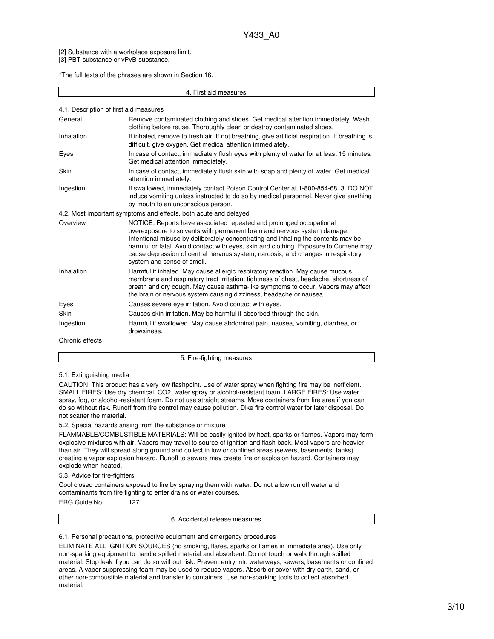[2] Substance with a workplace exposure limit.

[3] PBT-substance or vPvB-substance.

\*The full texts of the phrases are shown in Section 16.

#### 4. First aid measures

|  | 4.1. Description of first aid measures |  |  |  |  |
|--|----------------------------------------|--|--|--|--|
|--|----------------------------------------|--|--|--|--|

| General         | Remove contaminated clothing and shoes. Get medical attention immediately. Wash<br>clothing before reuse. Thoroughly clean or destroy contaminated shoes.                                                                                                                                                                                                                                                                                      |
|-----------------|------------------------------------------------------------------------------------------------------------------------------------------------------------------------------------------------------------------------------------------------------------------------------------------------------------------------------------------------------------------------------------------------------------------------------------------------|
| Inhalation      | If inhaled, remove to fresh air. If not breathing, give artificial respiration. If breathing is<br>difficult, give oxygen. Get medical attention immediately.                                                                                                                                                                                                                                                                                  |
| Eyes            | In case of contact, immediately flush eyes with plenty of water for at least 15 minutes.<br>Get medical attention immediately.                                                                                                                                                                                                                                                                                                                 |
| <b>Skin</b>     | In case of contact, immediately flush skin with soap and plenty of water. Get medical<br>attention immediately.                                                                                                                                                                                                                                                                                                                                |
| Ingestion       | If swallowed, immediately contact Poison Control Center at 1-800-854-6813. DO NOT<br>induce vomiting unless instructed to do so by medical personnel. Never give anything<br>by mouth to an unconscious person.                                                                                                                                                                                                                                |
|                 | 4.2. Most important symptoms and effects, both acute and delayed                                                                                                                                                                                                                                                                                                                                                                               |
| Overview        | NOTICE: Reports have associated repeated and prolonged occupational<br>overexposure to solvents with permanent brain and nervous system damage.<br>Intentional misuse by deliberately concentrating and inhaling the contents may be<br>harmful or fatal. Avoid contact with eyes, skin and clothing. Exposure to Cumene may<br>cause depression of central nervous system, narcosis, and changes in respiratory<br>system and sense of smell. |
| Inhalation      | Harmful if inhaled. May cause allergic respiratory reaction. May cause mucous<br>membrane and respiratory tract irritation, tightness of chest, headache, shortness of<br>breath and dry cough. May cause asthma-like symptoms to occur. Vapors may affect<br>the brain or nervous system causing dizziness, headache or nausea.                                                                                                               |
| Eyes            | Causes severe eve irritation. Avoid contact with eyes.                                                                                                                                                                                                                                                                                                                                                                                         |
| <b>Skin</b>     | Causes skin irritation. May be harmful if absorbed through the skin.                                                                                                                                                                                                                                                                                                                                                                           |
| Ingestion       | Harmful if swallowed. May cause abdominal pain, nausea, vomiting, diarrhea, or<br>drowsiness.                                                                                                                                                                                                                                                                                                                                                  |
| Chronic effects |                                                                                                                                                                                                                                                                                                                                                                                                                                                |

# 5. Fire-fighting measures

#### 5.1. Extinguishing media

CAUTION: This product has a very low flashpoint. Use of water spray when fighting fire may be inefficient. SMALL FIRES: Use dry chemical, CO2, water spray or alcohol-resistant foam. LARGE FIRES: Use water spray, fog, or alcohol-resistant foam. Do not use straight streams. Move containers from fire area if you can do so without risk. Runoff from fire control may cause pollution. Dike fire control water for later disposal. Do not scatter the material.

## 5.2. Special hazards arising from the substance or mixture

FLAMMABLE/COMBUSTIBLE MATERIALS: Will be easily ignited by heat, sparks or flames. Vapors may form explosive mixtures with air. Vapors may travel to source of ignition and flash back. Most vapors are heavier than air. They will spread along ground and collect in low or confined areas (sewers, basements, tanks) creating a vapor explosion hazard. Runoff to sewers may create fire or explosion hazard. Containers may explode when heated.

#### 5.3. Advice for fire-fighters

Cool closed containers exposed to fire by spraying them with water. Do not allow run off water and contaminants from fire fighting to enter drains or water courses.

ERG Guide No. 127

6. Accidental release measures

6.1. Personal precautions, protective equipment and emergency procedures

ELIMINATE ALL IGNITION SOURCES (no smoking, flares, sparks or flames in immediate area). Use only non-sparking equipment to handle spilled material and absorbent. Do not touch or walk through spilled material. Stop leak if you can do so without risk. Prevent entry into waterways, sewers, basements or confined areas. A vapor suppressing foam may be used to reduce vapors. Absorb or cover with dry earth, sand, or other non-combustible material and transfer to containers. Use non-sparking tools to collect absorbed material.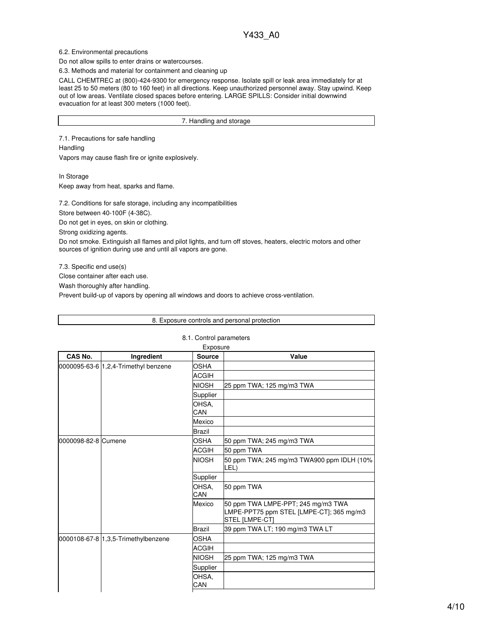## 6.2. Environmental precautions

Do not allow spills to enter drains or watercourses.

6.3. Methods and material for containment and cleaning up

CALL CHEMTREC at (800)-424-9300 for emergency response. Isolate spill or leak area immediately for at least 25 to 50 meters (80 to 160 feet) in all directions. Keep unauthorized personnel away. Stay upwind. Keep out of low areas. Ventilate closed spaces before entering. LARGE SPILLS: Consider initial downwind evacuation for at least 300 meters (1000 feet).

7. Handling and storage

7.1. Precautions for safe handling Handling

Vapors may cause flash fire or ignite explosively.

In Storage Keep away from heat, sparks and flame.

7.2. Conditions for safe storage, including any incompatibilities

Store between 40-100F (4-38C).

Do not get in eyes, on skin or clothing.

Strong oxidizing agents.

Do not smoke. Extinguish all flames and pilot lights, and turn off stoves, heaters, electric motors and other sources of ignition during use and until all vapors are gone.

8. Exposure controls and personal protection

7.3. Specific end use(s)

Г

Close container after each use.

Wash thoroughly after handling.

Prevent build-up of vapors by opening all windows and doors to achieve cross-ventilation.

|                     |                                      | 8.1. Control parameters   |                                                                                                  |
|---------------------|--------------------------------------|---------------------------|--------------------------------------------------------------------------------------------------|
| CAS No.             |                                      | Exposure<br><b>Source</b> | Value                                                                                            |
|                     | Ingredient                           | <b>OSHA</b>               |                                                                                                  |
|                     | 0000095-63-6 1,2,4-Trimethyl benzene | <b>ACGIH</b>              |                                                                                                  |
|                     |                                      | <b>NIOSH</b>              |                                                                                                  |
|                     |                                      |                           | 25 ppm TWA; 125 mg/m3 TWA                                                                        |
|                     |                                      | Supplier                  |                                                                                                  |
|                     |                                      | OHSA.<br>CAN              |                                                                                                  |
|                     |                                      | Mexico                    |                                                                                                  |
|                     |                                      | <b>Brazil</b>             |                                                                                                  |
| 0000098-82-8 Cumene |                                      | <b>OSHA</b>               | 50 ppm TWA; 245 mg/m3 TWA                                                                        |
|                     |                                      | <b>ACGIH</b>              | 50 ppm TWA                                                                                       |
|                     |                                      | <b>NIOSH</b>              | 50 ppm TWA; 245 mg/m3 TWA900 ppm IDLH (10%<br>LEL)                                               |
|                     |                                      | Supplier                  |                                                                                                  |
|                     |                                      | OHSA,<br>CAN              | 50 ppm TWA                                                                                       |
|                     |                                      | Mexico                    | 50 ppm TWA LMPE-PPT; 245 mg/m3 TWA<br>LMPE-PPT75 ppm STEL [LMPE-CT]; 365 mg/m3<br>STEL [LMPE-CT] |
|                     |                                      | <b>Brazil</b>             | 39 ppm TWA LT; 190 mg/m3 TWA LT                                                                  |
|                     | 0000108-67-8 1,3,5-Trimethylbenzene  | <b>OSHA</b>               |                                                                                                  |
|                     |                                      | <b>ACGIH</b>              |                                                                                                  |
|                     |                                      | <b>NIOSH</b>              | 25 ppm TWA; 125 mg/m3 TWA                                                                        |
|                     |                                      | Supplier                  |                                                                                                  |
|                     |                                      | OHSA,<br>CAN              |                                                                                                  |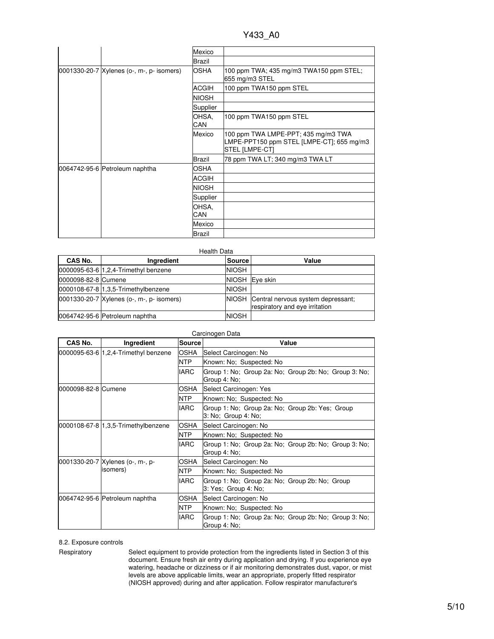Y433\_A0

|                                           | Mexico       |                                                                                                    |
|-------------------------------------------|--------------|----------------------------------------------------------------------------------------------------|
|                                           | Brazil       |                                                                                                    |
| 0001330-20-7 Xylenes (o-, m-, p- isomers) | <b>OSHA</b>  | 100 ppm TWA; 435 mg/m3 TWA150 ppm STEL;<br>655 mg/m3 STEL                                          |
|                                           | ACGIH        | 100 ppm TWA150 ppm STEL                                                                            |
|                                           | <b>NIOSH</b> |                                                                                                    |
|                                           | Supplier     |                                                                                                    |
|                                           | OHSA,<br>CAN | 100 ppm TWA150 ppm STEL                                                                            |
|                                           | Mexico       | 100 ppm TWA LMPE-PPT; 435 mg/m3 TWA<br>LMPE-PPT150 ppm STEL [LMPE-CT]; 655 mg/m3<br>STEL [LMPE-CT] |
|                                           | Brazil       | 78 ppm TWA LT; 340 mg/m3 TWA LT                                                                    |
| 0064742-95-6 Petroleum naphtha            | <b>OSHA</b>  |                                                                                                    |
|                                           | <b>ACGIH</b> |                                                                                                    |
|                                           | <b>NIOSH</b> |                                                                                                    |
|                                           | Supplier     |                                                                                                    |
|                                           | OHSA,<br>CAN |                                                                                                    |
|                                           | Mexico       |                                                                                                    |
|                                           | Brazil       |                                                                                                    |

| <b>Health Data</b>  |                                           |               |                                                                            |
|---------------------|-------------------------------------------|---------------|----------------------------------------------------------------------------|
| <b>CAS No.</b>      | Ingredient                                | <b>Source</b> | Value                                                                      |
|                     | 0000095-63-6   1, 2, 4- Trimethyl benzene | <b>NIOSH</b>  |                                                                            |
| 0000098-82-8 Cumene |                                           | <b>NIOSH</b>  | Eve skin                                                                   |
|                     | 0000108-67-8 1,3,5-Trimethylbenzene       | <b>NIOSH</b>  |                                                                            |
|                     | 0001330-20-7 Xylenes (o-, m-, p- isomers) |               | NIOSH Central nervous system depressant;<br>respiratory and eye irritation |
|                     | 0064742-95-6 Petroleum naphtha            | <b>NIOSH</b>  |                                                                            |

| Carcinogen Data     |                                      |               |                                                                        |
|---------------------|--------------------------------------|---------------|------------------------------------------------------------------------|
| CAS No.             | Ingredient                           | <b>Source</b> | Value                                                                  |
|                     | 0000095-63-6 1.2.4-Trimethyl benzene | OSHA          | Select Carcinogen: No                                                  |
|                     |                                      | <b>NTP</b>    | Known: No; Suspected: No                                               |
|                     |                                      | <b>IARC</b>   | Group 1: No; Group 2a: No; Group 2b: No; Group 3: No;<br>Group 4: No;  |
| 0000098-82-8 Cumene |                                      | OSHA          | Select Carcinogen: Yes                                                 |
|                     |                                      | <b>NTP</b>    | Known: No; Suspected: No                                               |
|                     |                                      | <b>IARC</b>   | Group 1: No; Group 2a: No; Group 2b: Yes; Group<br>3: No; Group 4: No; |
|                     | 0000108-67-8 1,3,5-Trimethylbenzene  | OSHA          | Select Carcinogen: No                                                  |
|                     |                                      | NTP.          | Known: No; Suspected: No                                               |
|                     |                                      | <b>IARC</b>   | Group 1: No; Group 2a: No; Group 2b: No; Group 3: No;<br>Group 4: No;  |
|                     | 0001330-20-7 Xylenes (o-, m-, p-     | OSHA          | Select Carcinogen: No                                                  |
|                     | isomers)                             | NTP           | Known: No: Suspected: No                                               |
|                     |                                      | <b>IARC</b>   | Group 1: No; Group 2a: No; Group 2b: No; Group<br>3: Yes; Group 4: No; |
|                     | 0064742-95-6 Petroleum naphtha       | OSHA          | Select Carcinogen: No                                                  |
|                     |                                      | NTP           | Known: No; Suspected: No                                               |
|                     |                                      | <b>IARC</b>   | Group 1: No; Group 2a: No; Group 2b: No; Group 3: No;<br>Group 4: No;  |

8.2. Exposure controls

Respiratory Select equipment to provide protection from the ingredients listed in Section 3 of this document. Ensure fresh air entry during application and drying. If you experience eye watering, headache or dizziness or if air monitoring demonstrates dust, vapor, or mist levels are above applicable limits, wear an appropriate, properly fitted respirator (NIOSH approved) during and after application. Follow respirator manufacturer's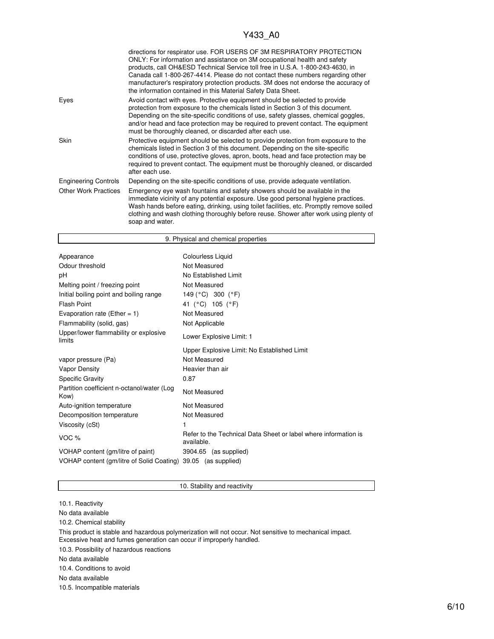|                             | directions for respirator use. FOR USERS OF 3M RESPIRATORY PROTECTION<br>ONLY: For information and assistance on 3M occupational health and safety<br>products, call OH&ESD Technical Service toll free in U.S.A. 1-800-243-4630, in<br>Canada call 1-800-267-4414. Please do not contact these numbers regarding other<br>manufacturer's respiratory protection products. 3M does not endorse the accuracy of<br>the information contained in this Material Safety Data Sheet. |
|-----------------------------|---------------------------------------------------------------------------------------------------------------------------------------------------------------------------------------------------------------------------------------------------------------------------------------------------------------------------------------------------------------------------------------------------------------------------------------------------------------------------------|
| Eyes                        | Avoid contact with eyes. Protective equipment should be selected to provide<br>protection from exposure to the chemicals listed in Section 3 of this document.<br>Depending on the site-specific conditions of use, safety glasses, chemical goggles,<br>and/or head and face protection may be required to prevent contact. The equipment<br>must be thoroughly cleaned, or discarded after each use.                                                                          |
| <b>Skin</b>                 | Protective equipment should be selected to provide protection from exposure to the<br>chemicals listed in Section 3 of this document. Depending on the site-specific<br>conditions of use, protective gloves, apron, boots, head and face protection may be<br>required to prevent contact. The equipment must be thoroughly cleaned, or discarded<br>after each use.                                                                                                           |
| <b>Engineering Controls</b> | Depending on the site-specific conditions of use, provide adequate ventilation.                                                                                                                                                                                                                                                                                                                                                                                                 |
| <b>Other Work Practices</b> | Emergency eye wash fountains and safety showers should be available in the<br>immediate vicinity of any potential exposure. Use good personal hygiene practices.<br>Wash hands before eating, drinking, using toilet facilities, etc. Promptly remove soiled<br>clothing and wash clothing thoroughly before reuse. Shower after work using plenty of<br>soap and water.                                                                                                        |

| 9. Physical and chemical properties                           |                                                                               |  |
|---------------------------------------------------------------|-------------------------------------------------------------------------------|--|
|                                                               |                                                                               |  |
| Appearance                                                    | Colourless Liquid                                                             |  |
| Odour threshold                                               | Not Measured                                                                  |  |
| рH                                                            | No Established Limit                                                          |  |
| Melting point / freezing point                                | Not Measured                                                                  |  |
| Initial boiling point and boiling range                       | 149 (°C) 300 (°F)                                                             |  |
| <b>Flash Point</b>                                            | 41 (°C) 105 (°F)                                                              |  |
| Evaporation rate (Ether = 1)                                  | Not Measured                                                                  |  |
| Flammability (solid, gas)                                     | Not Applicable                                                                |  |
| Upper/lower flammability or explosive<br>limits               | Lower Explosive Limit: 1                                                      |  |
|                                                               | Upper Explosive Limit: No Established Limit                                   |  |
| vapor pressure (Pa)                                           | Not Measured                                                                  |  |
| Vapor Density                                                 | Heavier than air                                                              |  |
| <b>Specific Gravity</b>                                       | 0.87                                                                          |  |
| Partition coefficient n-octanol/water (Log<br>Kow)            | Not Measured                                                                  |  |
| Auto-ignition temperature                                     | Not Measured                                                                  |  |
| Decomposition temperature                                     | Not Measured                                                                  |  |
| Viscosity (cSt)                                               | 1                                                                             |  |
| VOC <sub>%</sub>                                              | Refer to the Technical Data Sheet or label where information is<br>available. |  |
| VOHAP content (gm/litre of paint)                             | 3904.65 (as supplied)                                                         |  |
| VOHAP content (gm/litre of Solid Coating) 39.05 (as supplied) |                                                                               |  |

10. Stability and reactivity

10.1. Reactivity No data available

10.2. Chemical stability

This product is stable and hazardous polymerization will not occur. Not sensitive to mechanical impact. Excessive heat and fumes generation can occur if improperly handled.

10.3. Possibility of hazardous reactions

No data available

10.4. Conditions to avoid

No data available

10.5. Incompatible materials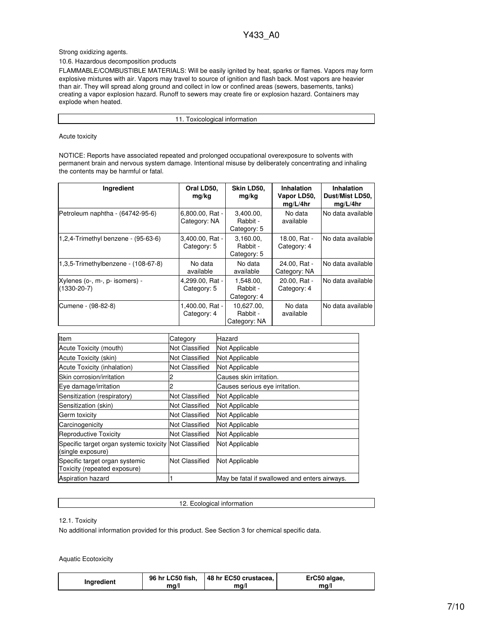## Strong oxidizing agents.

## 10.6. Hazardous decomposition products

FLAMMABLE/COMBUSTIBLE MATERIALS: Will be easily ignited by heat, sparks or flames. Vapors may form explosive mixtures with air. Vapors may travel to source of ignition and flash back. Most vapors are heavier than air. They will spread along ground and collect in low or confined areas (sewers, basements, tanks) creating a vapor explosion hazard. Runoff to sewers may create fire or explosion hazard. Containers may explode when heated.

11. Toxicological information

Acute toxicity

NOTICE: Reports have associated repeated and prolonged occupational overexposure to solvents with permanent brain and nervous system damage. Intentional misuse by deliberately concentrating and inhaling the contents may be harmful or fatal.

| <b>Ingredient</b>                                   | Oral LD50,<br>mg/kg             | Skin LD50,<br>mg/kg                    | <b>Inhalation</b><br>Vapor LD50,<br>mq/L/4hr | <b>Inhalation</b><br>Dust/Mist LD50,<br>mq/L/4hr |
|-----------------------------------------------------|---------------------------------|----------------------------------------|----------------------------------------------|--------------------------------------------------|
| Petroleum naphtha - (64742-95-6)                    | 6,800.00, Rat -<br>Category: NA | 3.400.00.<br>Rabbit -<br>Category: 5   | No data<br>available                         | No data available                                |
| 1,2,4-Trimethyl benzene - $(95-63-6)$               | 3,400.00, Rat -<br>Category: 5  | 3.160.00.<br>Rabbit -<br>Category: 5   | 18.00, Rat -<br>Category: 4                  | INo data available                               |
| 1.3.5-Trimethylbenzene - (108-67-8)                 | No data<br>available            | No data<br>available                   | 24.00. Rat -<br>Category: NA                 | No data available                                |
| Xylenes (o-, m-, p- isomers) -<br>$(1330 - 20 - 7)$ | 4,299.00, Rat -<br>Category: 5  | 1.548.00.<br>Rabbit -<br>Category: 4   | 20.00. Rat -<br>Category: 4                  | No data available                                |
| Cumene - (98-82-8)                                  | 1,400.00, Rat -<br>Category: 4  | 10.627.00.<br>Rabbit -<br>Category: NA | No data<br>available                         | No data available                                |

| Item                                                                        | Category              | Hazard                                        |
|-----------------------------------------------------------------------------|-----------------------|-----------------------------------------------|
| Acute Toxicity (mouth)                                                      | Not Classified        | Not Applicable                                |
| Acute Toxicity (skin)                                                       | Not Classified        | Not Applicable                                |
| Acute Toxicity (inhalation)                                                 | Not Classified        | Not Applicable                                |
| Skin corrosion/irritation                                                   |                       | Causes skin irritation.                       |
| Eye damage/irritation                                                       | 2                     | Causes serious eye irritation.                |
| Sensitization (respiratory)                                                 | Not Classified        | Not Applicable                                |
| Sensitization (skin)                                                        | Not Classified        | Not Applicable                                |
| Germ toxicity                                                               | <b>Not Classified</b> | Not Applicable                                |
| Carcinogenicity                                                             | Not Classified        | Not Applicable                                |
| <b>Reproductive Toxicity</b>                                                | Not Classified        | Not Applicable                                |
| Specific target organ systemic toxicity Not Classified<br>(single exposure) |                       | Not Applicable                                |
| Specific target organ systemic<br>Toxicity (repeated exposure)              | <b>Not Classified</b> | Not Applicable                                |
| <b>Aspiration hazard</b>                                                    |                       | May be fatal if swallowed and enters airways. |

12.1. Toxicity

12. Ecological information

No additional information provided for this product. See Section 3 for chemical specific data.

Aquatic Ecotoxicity

| Ingredient | 96 hr LC50 fish, | 48 hr EC50 crustacea, | ErC50 algae, |
|------------|------------------|-----------------------|--------------|
|            | ma/l             | ma/l                  | mq/          |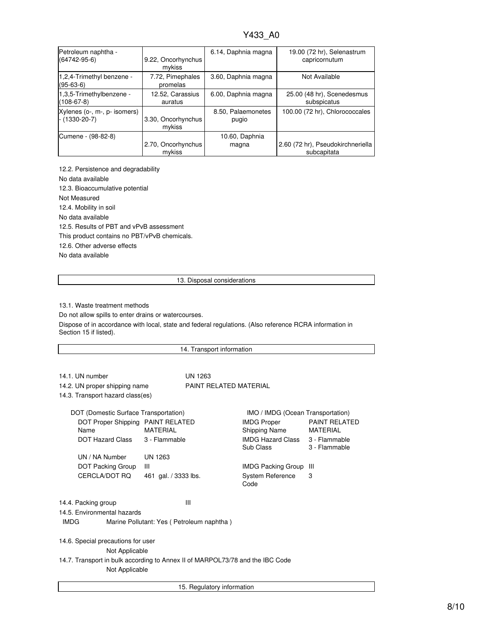| Petroleum naphtha -                      | 9.22, Oncorhynchus           | 6.14, Daphnia magna | 19.00 (72 hr), Selenastrum        |
|------------------------------------------|------------------------------|---------------------|-----------------------------------|
| $(64742-95-6)$                           | mykiss                       |                     | capricornutum                     |
| 1,2,4-Trimethyl benzene -<br>$(95-63-6)$ | 7.72, Pimephales<br>promelas | 3.60, Daphnia magna | Not Available                     |
| 1,3,5-Trimethylbenzene -                 | 12.52, Carassius             | 6.00, Daphnia magna | 25.00 (48 hr), Scenedesmus        |
| $(108-67-8)$                             | auratus                      |                     | subspicatus                       |
| Xylenes (o-, m-, p- isomers)             | 3.30, Oncorhynchus           | 8.50, Palaemonetes  | 100.00 (72 hr), Chlorococcales    |
| $- (1330 - 20 - 7)$                      | mykiss                       | pugio               |                                   |
| Cumene - (98-82-8)                       | 2.70, Oncorhynchus           | 10.60, Daphnia      | 2.60 (72 hr), Pseudokirchneriella |
|                                          | mykiss                       | magna               | subcapitata                       |

12.2. Persistence and degradability No data available 12.3. Bioaccumulative potential Not Measured 12.4. Mobility in soil No data available 12.5. Results of PBT and vPvB assessment This product contains no PBT/vPvB chemicals. 12.6. Other adverse effects No data available

13. Disposal considerations

13.1. Waste treatment methods

Do not allow spills to enter drains or watercourses.

Dispose of in accordance with local, state and federal regulations. (Also reference RCRA information in Section 15 if listed).

| 14. Transport information                                                     |                      |         |                                       |                                         |  |
|-------------------------------------------------------------------------------|----------------------|---------|---------------------------------------|-----------------------------------------|--|
|                                                                               |                      |         |                                       |                                         |  |
| 14.1. UN number                                                               |                      | UN 1263 |                                       |                                         |  |
| PAINT RELATED MATERIAL<br>14.2. UN proper shipping name                       |                      |         |                                       |                                         |  |
| 14.3. Transport hazard class(es)                                              |                      |         |                                       |                                         |  |
| DOT (Domestic Surface Transportation)                                         |                      |         | IMO / IMDG (Ocean Transportation)     |                                         |  |
| DOT Proper Shipping PAINT RELATED<br><b>MATFRIAI</b><br>Name                  |                      |         | <b>IMDG Proper</b><br>Shipping Name   | <b>PAINT RELATED</b><br><b>MATERIAL</b> |  |
| DOT Hazard Class                                                              | 3 - Flammable        |         | <b>IMDG Hazard Class</b><br>Sub Class | 3 - Flammable<br>3 - Flammable          |  |
| UN / NA Number                                                                | UN 1263              |         |                                       |                                         |  |
| DOT Packing Group                                                             | Ш                    |         | <b>IMDG Packing Group</b>             | Ш                                       |  |
| CERCLA/DOT RQ                                                                 | 461 gal. / 3333 lbs. |         | <b>System Reference</b><br>Code       | 3                                       |  |
| 14.4. Packing group                                                           |                      | Ш       |                                       |                                         |  |
| 14.5. Environmental hazards                                                   |                      |         |                                       |                                         |  |
| <b>IMDG</b><br>Marine Pollutant: Yes (Petroleum naphtha)                      |                      |         |                                       |                                         |  |
| 14.6. Special precautions for user                                            |                      |         |                                       |                                         |  |
| Not Applicable                                                                |                      |         |                                       |                                         |  |
| 14.7. Transport in bulk according to Annex II of MARPOL73/78 and the IBC Code |                      |         |                                       |                                         |  |
| Not Applicable                                                                |                      |         |                                       |                                         |  |
|                                                                               |                      |         |                                       |                                         |  |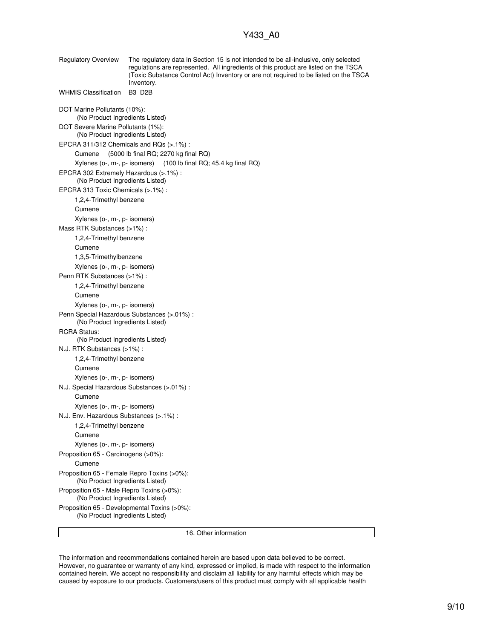Regulatory Overview The regulatory data in Section 15 is not intended to be all-inclusive, only selected regulations are represented. All ingredients of this product are listed on the TSCA (Toxic Substance Control Act) Inventory or are not required to be listed on the TSCA Inventory. WHMIS Classification B3 D2B DOT Marine Pollutants (10%): (No Product Ingredients Listed) DOT Severe Marine Pollutants (1%): (No Product Ingredients Listed) EPCRA 311/312 Chemicals and RQs (>.1%) : Cumene (5000 lb final RQ; 2270 kg final RQ) Xylenes (o-, m-, p- isomers) (100 lb final RQ; 45.4 kg final RQ) EPCRA 302 Extremely Hazardous (>.1%) : (No Product Ingredients Listed) EPCRA 313 Toxic Chemicals (>.1%) : 1,2,4-Trimethyl benzene Cumene Xylenes (o-, m-, p- isomers) Mass RTK Substances (>1%) : 1,2,4-Trimethyl benzene Cumene 1,3,5-Trimethylbenzene Xylenes (o-, m-, p- isomers) Penn RTK Substances (>1%) : 1,2,4-Trimethyl benzene Cumene Xylenes (o-, m-, p- isomers) Penn Special Hazardous Substances (>.01%) : (No Product Ingredients Listed) RCRA Status: (No Product Ingredients Listed) N.J. RTK Substances (>1%) : 1,2,4-Trimethyl benzene Cumene Xylenes (o-, m-, p- isomers) N.J. Special Hazardous Substances (>.01%) : Cumene Xylenes (o-, m-, p- isomers) N.J. Env. Hazardous Substances (>.1%) : 1,2,4-Trimethyl benzene Cumene Xylenes (o-, m-, p- isomers) Proposition 65 - Carcinogens (>0%): Cumene Proposition 65 - Female Repro Toxins (>0%): (No Product Ingredients Listed) Proposition 65 - Male Repro Toxins (>0%): (No Product Ingredients Listed) Proposition 65 - Developmental Toxins (>0%): (No Product Ingredients Listed) 16. Other information

The information and recommendations contained herein are based upon data believed to be correct. However, no guarantee or warranty of any kind, expressed or implied, is made with respect to the information contained herein. We accept no responsibility and disclaim all liability for any harmful effects which may be caused by exposure to our products. Customers/users of this product must comply with all applicable health